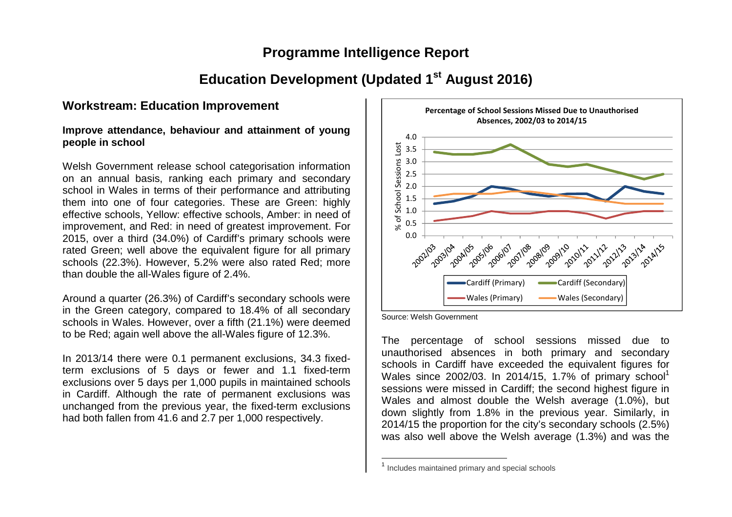## **Programme Intelligence Report**

# **Education Development (Updated 1st August 2016)**

## **Workstream: Education Improvement**

#### **Improve attendance, behaviour and attainment of young people in school**

Welsh Government release school categorisation information on an annual basis, ranking each primary and secondary school in Wales in terms of their performance and attributing them into one of four categories. These are Green: highly effective schools, Yellow: effective schools, Amber: in need of improvement, and Red: in need of greatest improvement. For 2015, over a third (34.0%) of Cardiff's primary schools were rated Green; well above the equivalent figure for all primary schools (22.3%). However, 5.2% were also rated Red; more than double the all-Wales figure of 2.4%.

Around a quarter (26.3%) of Cardiff's secondary schools were in the Green category, compared to 18.4% of all secondary schools in Wales. However, over a fifth (21.1%) were deemed to be Red; again well above the all-Wales figure of 12.3%.

In 2013/14 there were 0.1 permanent exclusions, 34.3 fixedterm exclusions of 5 days or fewer and 1.1 fixed-term exclusions over 5 days per 1,000 pupils in maintained schools in Cardiff. Although the rate of permanent exclusions was unchanged from the previous year, the fixed-term exclusions had both fallen from 41.6 and 2.7 per 1,000 respectively.



Source: Welsh Government

The percentage of school sessions missed due to unauthorised absences in both primary and secondary schools in Cardiff have exceeded the equivalent figures for Wales since 2002/03. In 2014/15, 1.7% of primary school<sup>1</sup> sessions were missed in Cardiff; the second highest figure in Wales and almost double the Welsh average (1.0%), but down slightly from 1.8% in the previous year. Similarly, in 2014/15 the proportion for the city's secondary schools (2.5%) was also well above the Welsh average (1.3%) and was the

<sup>&</sup>lt;sup>1</sup> Includes maintained primary and special schools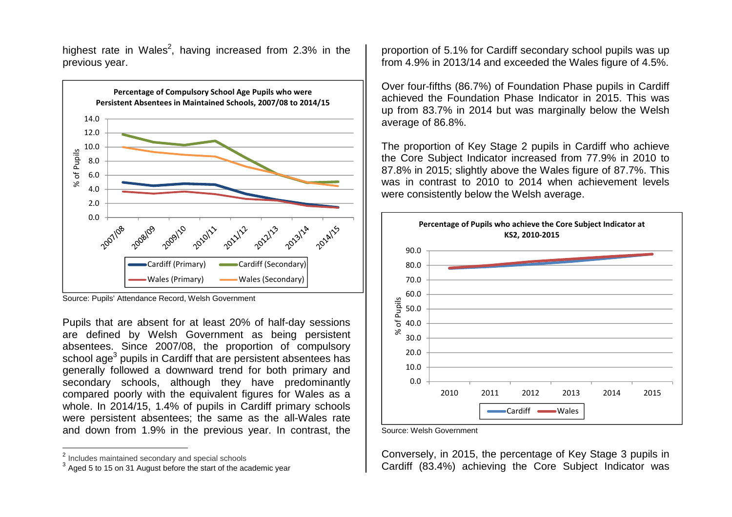highest rate in Wales<sup>2</sup>, having increased from 2.3% in the previous year.



Source: Pupils' Attendance Record, Welsh Government

Pupils that are absent for at least 20% of half-day sessions are defined by Welsh Government as being persistent absentees. Since 2007/08, the proportion of compulsory school age $^3$  pupils in Cardiff that are persistent absentees has generally followed a downward trend for both primary and secondary schools, although they have predominantly compared poorly with the equivalent figures for Wales as a whole. In 2014/15, 1.4% of pupils in Cardiff primary schools were persistent absentees; the same as the all-Wales rate and down from 1.9% in the previous year. In contrast, the proportion of 5.1% for Cardiff secondary school pupils was up from 4.9% in 2013/14 and exceeded the Wales figure of 4.5%.

Over four-fifths (86.7%) of Foundation Phase pupils in Cardiff achieved the Foundation Phase Indicator in 2015. This was up from 83.7% in 2014 but was marginally below the Welsh average of 86.8%.

The proportion of Key Stage 2 pupils in Cardiff who achieve the Core Subject Indicator increased from 77.9% in 2010 to 87.8% in 2015; slightly above the Wales figure of 87.7%. This was in contrast to 2010 to 2014 when achievement levels were consistently below the Welsh average.



Source: Welsh Government

Conversely, in 2015, the percentage of Key Stage 3 pupils in Cardiff (83.4%) achieving the Core Subject Indicator was

<sup>2</sup>Includes maintained secondary and special schools

 $^3$  Aged 5 to 15 on 31 August before the start of the academic year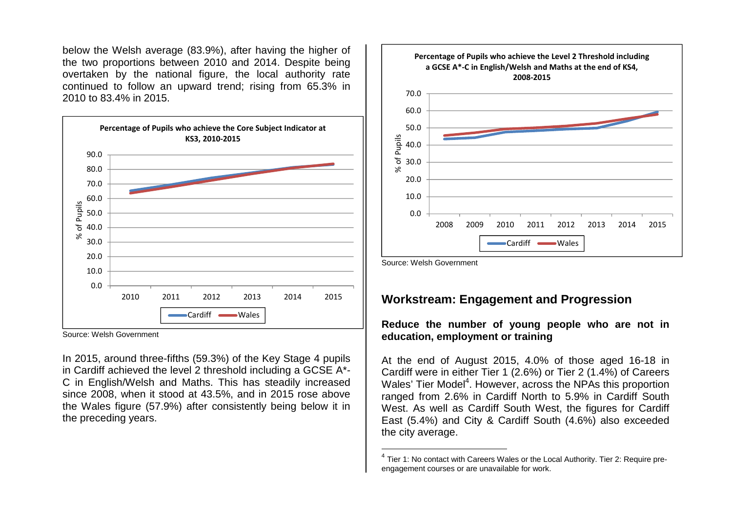below the Welsh average (83.9%), after having the higher of the two proportions between 2010 and 2014. Despite being overtaken by the national figure, the local authority rate continued to follow an upward trend; rising from 65.3% in 2010 to 83.4% in 2015.



Source: Welsh Government

In 2015, around three-fifths (59.3%) of the Key Stage 4 pupils in Cardiff achieved the level 2 threshold including a GCSE A\*- C in English/Welsh and Maths. This has steadily increased since 2008, when it stood at 43.5%, and in 2015 rose above the Wales figure (57.9%) after consistently being below it in the preceding years.



Source: Welsh Government

## **Workstream: Engagement and Progression**

**Reduce the number of young people who are not in education, employment or training** 

At the end of August 2015, 4.0% of those aged 16-18 in Cardiff were in either Tier 1 (2.6%) or Tier 2 (1.4%) of Careers Wales' Tier Model<sup>4</sup>. However, across the NPAs this proportion ranged from 2.6% in Cardiff North to 5.9% in Cardiff South West. As well as Cardiff South West, the figures for Cardiff East (5.4%) and City & Cardiff South (4.6%) also exceeded the city average.

 $^4$  Tier 1: No contact with Careers Wales or the Local Authority. Tier 2: Require preengagement courses or are unavailable for work.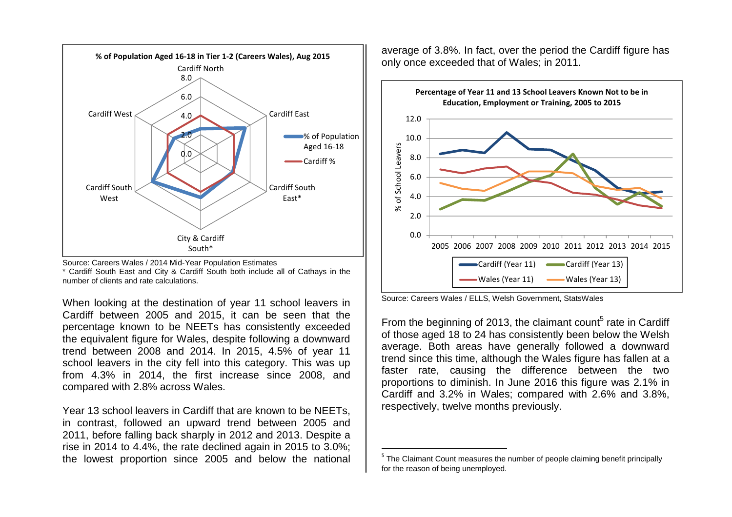



When looking at the destination of year 11 school leavers in Cardiff between 2005 and 2015, it can be seen that the percentage known to be NEETs has consistently exceeded the equivalent figure for Wales, despite following a downward trend between 2008 and 2014. In 2015, 4.5% of year 11 school leavers in the city fell into this category. This was up from 4.3% in 2014, the first increase since 2008, and compared with 2.8% across Wales.

Year 13 school leavers in Cardiff that are known to be NEETs, in contrast, followed an upward trend between 2005 and 2011, before falling back sharply in 2012 and 2013. Despite a rise in 2014 to 4.4%, the rate declined again in 2015 to 3.0%; the lowest proportion since 2005 and below the national

average of 3.8%. In fact, over the period the Cardiff figure has only once exceeded that of Wales; in 2011.



Source: Careers Wales / ELLS, Welsh Government, StatsWales

From the beginning of 2013, the claimant count<sup>5</sup> rate in Cardiff of those aged 18 to 24 has consistently been below the Welsh average. Both areas have generally followed a downward trend since this time, although the Wales figure has fallen at a faster rate, causing the difference between the two proportions to diminish. In June 2016 this figure was 2.1% in Cardiff and 3.2% in Wales; compared with 2.6% and 3.8%, respectively, twelve months previously.

 $<sup>5</sup>$  The Claimant Count measures the number of people claiming benefit principally</sup> for the reason of being unemployed.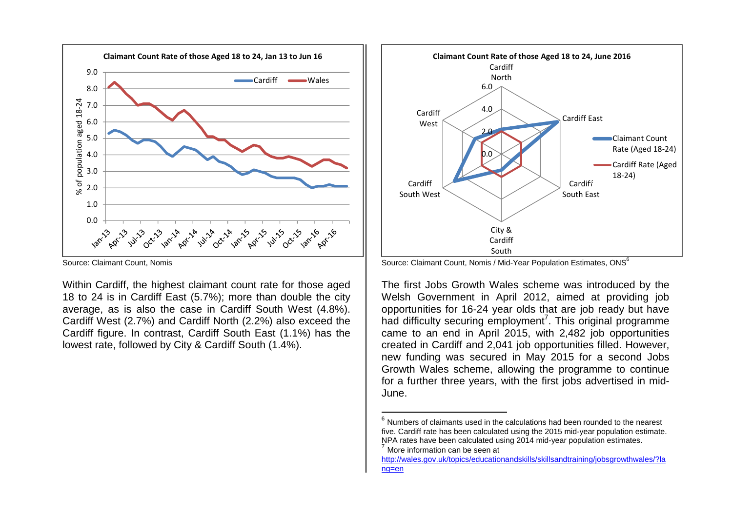

Source: Claimant Count, Nomis

Within Cardiff, the highest claimant count rate for those aged 18 to 24 is in Cardiff East (5.7%); more than double the city average, as is also the case in Cardiff South West (4.8%). Cardiff West (2.7%) and Cardiff North (2.2%) also exceed the Cardiff figure. In contrast, Cardiff South East (1.1%) has the lowest rate, followed by City & Cardiff South (1.4%).



Source: Claimant Count, Nomis / Mid-Year Population Estimates, ONS $^6$ 

The first Jobs Growth Wales scheme was introduced by the Welsh Government in April 2012, aimed at providing job opportunities for 16-24 year olds that are job ready but have had difficulty securing employment<sup>7</sup>. This original programme came to an end in April 2015, with 2,482 job opportunities created in Cardiff and 2,041 job opportunities filled. However, new funding was secured in May 2015 for a second Jobs Growth Wales scheme, allowing the programme to continue for a further three years, with the first jobs advertised in mid-June.

 $<sup>7</sup>$  More information can be seen at</sup>

 $6$  Numbers of claimants used in the calculations had been rounded to the nearest five. Cardiff rate has been calculated using the 2015 mid-year population estimate. NPA rates have been calculated using 2014 mid-year population estimates.

http://wales.gov.uk/topics/educationandskills/skillsandtraining/jobsgrowthwales/?lang=en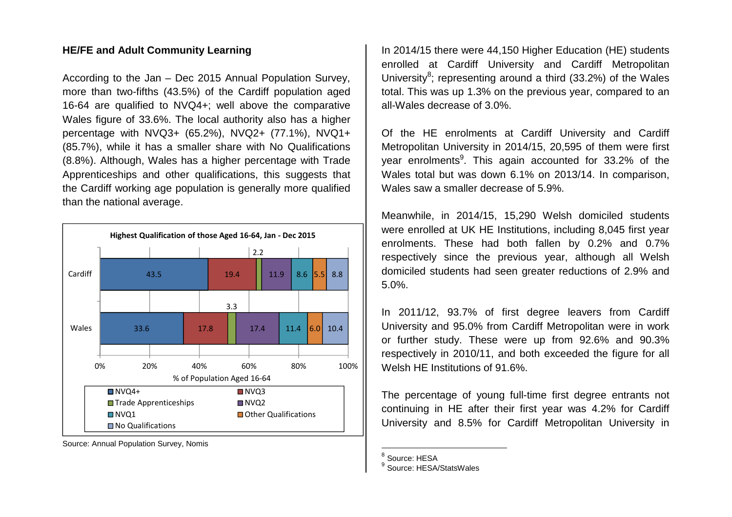#### **HE/FE and Adult Community Learning**

According to the Jan – Dec 2015 Annual Population Survey, more than two-fifths (43.5%) of the Cardiff population aged 16-64 are qualified to NVQ4+; well above the comparative Wales figure of 33.6%. The local authority also has a higher percentage with NVQ3+ (65.2%), NVQ2+ (77.1%), NVQ1+ (85.7%), while it has a smaller share with No Qualifications (8.8%). Although, Wales has a higher percentage with Trade Apprenticeships and other qualifications, this suggests that the Cardiff working age population is generally more qualified than the national average.



Source: Annual Population Survey, Nomis

In 2014/15 there were 44,150 Higher Education (HE) students enrolled at Cardiff University and Cardiff Metropolitan University<sup>8</sup>; representing around a third (33.2%) of the Wales total. This was up 1.3% on the previous year, compared to an all-Wales decrease of 3.0%.

Of the HE enrolments at Cardiff University and Cardiff Metropolitan University in 2014/15, 20,595 of them were first year enrolments $9$ . This again accounted for 33.2% of the Wales total but was down 6.1% on 2013/14. In comparison, Wales saw a smaller decrease of 5.9%.

Meanwhile, in 2014/15, 15,290 Welsh domiciled students were enrolled at UK HE Institutions, including 8,045 first year enrolments. These had both fallen by 0.2% and 0.7% respectively since the previous year, although all Welsh domiciled students had seen greater reductions of 2.9% and 5.0%.

In 2011/12, 93.7% of first degree leavers from Cardiff University and 95.0% from Cardiff Metropolitan were in work or further study. These were up from 92.6% and 90.3% respectively in 2010/11, and both exceeded the figure for all Welsh HE Institutions of 91.6%.

The percentage of young full-time first degree entrants not continuing in HE after their first year was 4.2% for Cardiff University and 8.5% for Cardiff Metropolitan University in

<sup>&</sup>lt;sup>8</sup> Source: HESA

<sup>&</sup>lt;sup>9</sup> Source: HESA/StatsWales